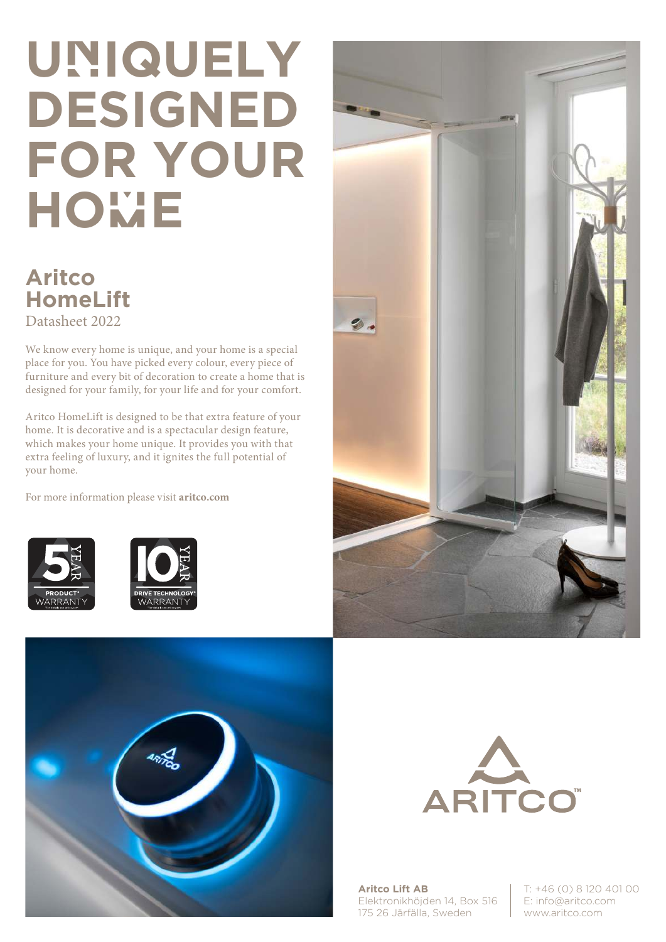## **UnIQUELY DESIGNED FOR YOUR HOmE**

## **Aritco HomeLift**  Datasheet 2022

We know every home is unique, and your home is a special place for you. You have picked every colour, every piece of furniture and every bit of decoration to create a home that is designed for your family, for your life and for your comfort.

Aritco HomeLift is designed to be that extra feature of your home. It is decorative and is a spectacular design feature, which makes your home unique. It provides you with that extra feeling of luxury, and it ignites the full potential of your home.

For more information please visit **aritco.com**











**Aritco Lift AB** Elektronikhöjden 14, Box 516 175 26 Järfälla, Sweden

T: +46 (0) 8 120 401 00 E: info@aritco.com www.aritco.com